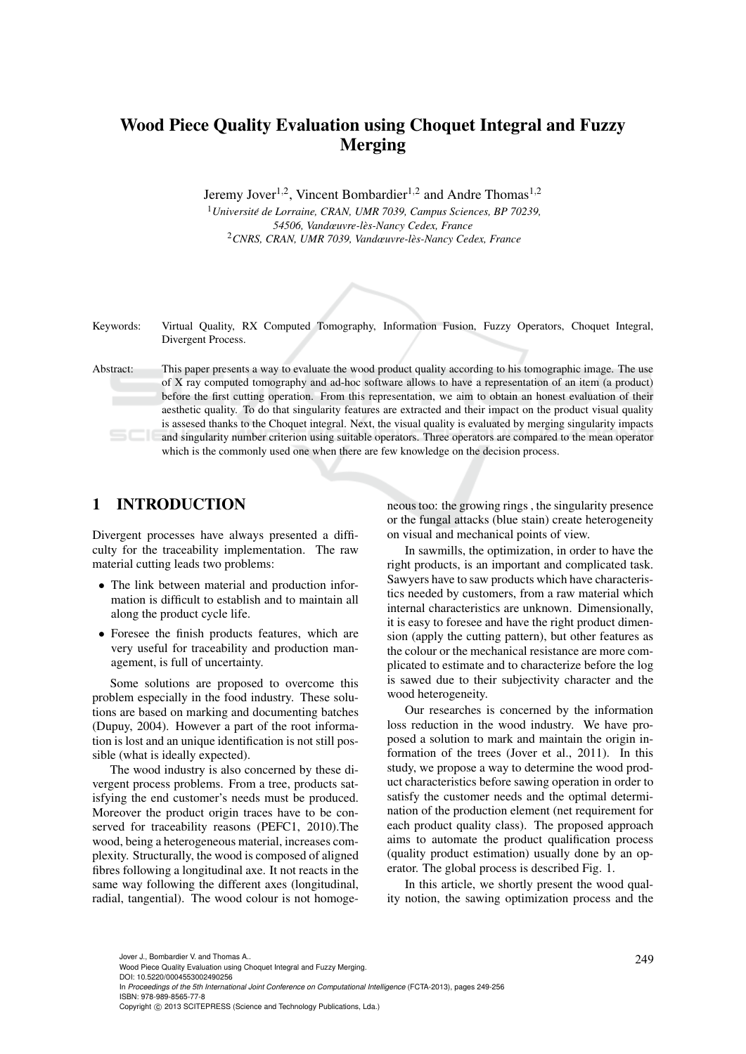# Wood Piece Quality Evaluation using Choquet Integral and Fuzzy Merging

Jeremy Jover<sup>1,2</sup>, Vincent Bombardier<sup>1,2</sup> and Andre Thomas<sup>1,2</sup>

<sup>1</sup>*Universite de Lorraine, CRAN, UMR 7039, Campus Sciences, BP 70239, ´ 54506, Vandœuvre-les-Nancy Cedex, France `* <sup>2</sup>*CNRS, CRAN, UMR 7039, Vandœuvre-les-Nancy Cedex, France `*



Keywords: Virtual Quality, RX Computed Tomography, Information Fusion, Fuzzy Operators, Choquet Integral, Divergent Process.

Abstract: This paper presents a way to evaluate the wood product quality according to his tomographic image. The use of X ray computed tomography and ad-hoc software allows to have a representation of an item (a product) before the first cutting operation. From this representation, we aim to obtain an honest evaluation of their aesthetic quality. To do that singularity features are extracted and their impact on the product visual quality is assesed thanks to the Choquet integral. Next, the visual quality is evaluated by merging singularity impacts and singularity number criterion using suitable operators. Three operators are compared to the mean operator which is the commonly used one when there are few knowledge on the decision process.

## 1 INTRODUCTION

Divergent processes have always presented a difficulty for the traceability implementation. The raw material cutting leads two problems:

- The link between material and production information is difficult to establish and to maintain all along the product cycle life.
- Foresee the finish products features, which are very useful for traceability and production management, is full of uncertainty.

Some solutions are proposed to overcome this problem especially in the food industry. These solutions are based on marking and documenting batches (Dupuy, 2004). However a part of the root information is lost and an unique identification is not still possible (what is ideally expected).

The wood industry is also concerned by these divergent process problems. From a tree, products satisfying the end customer's needs must be produced. Moreover the product origin traces have to be conserved for traceability reasons (PEFC1, 2010).The wood, being a heterogeneous material, increases complexity. Structurally, the wood is composed of aligned fibres following a longitudinal axe. It not reacts in the same way following the different axes (longitudinal, radial, tangential). The wood colour is not homoge-

neous too: the growing rings , the singularity presence or the fungal attacks (blue stain) create heterogeneity on visual and mechanical points of view.

In sawmills, the optimization, in order to have the right products, is an important and complicated task. Sawyers have to saw products which have characteristics needed by customers, from a raw material which internal characteristics are unknown. Dimensionally, it is easy to foresee and have the right product dimension (apply the cutting pattern), but other features as the colour or the mechanical resistance are more complicated to estimate and to characterize before the log is sawed due to their subjectivity character and the wood heterogeneity.

Our researches is concerned by the information loss reduction in the wood industry. We have proposed a solution to mark and maintain the origin information of the trees (Jover et al., 2011). In this study, we propose a way to determine the wood product characteristics before sawing operation in order to satisfy the customer needs and the optimal determination of the production element (net requirement for each product quality class). The proposed approach aims to automate the product qualification process (quality product estimation) usually done by an operator. The global process is described Fig. 1.

In this article, we shortly present the wood quality notion, the sawing optimization process and the

In *Proceedings of the 5th International Joint Conference on Computational Intelligence* (FCTA-2013), pages 249-256 ISBN: 978-989-8565-77-8

<sup>249</sup> Jover J., Bombardier V. and Thomas A.. Wood Piece Quality Evaluation using Choquet Integral and Fuzzy Merging. DOI: 10.5220/0004553002490256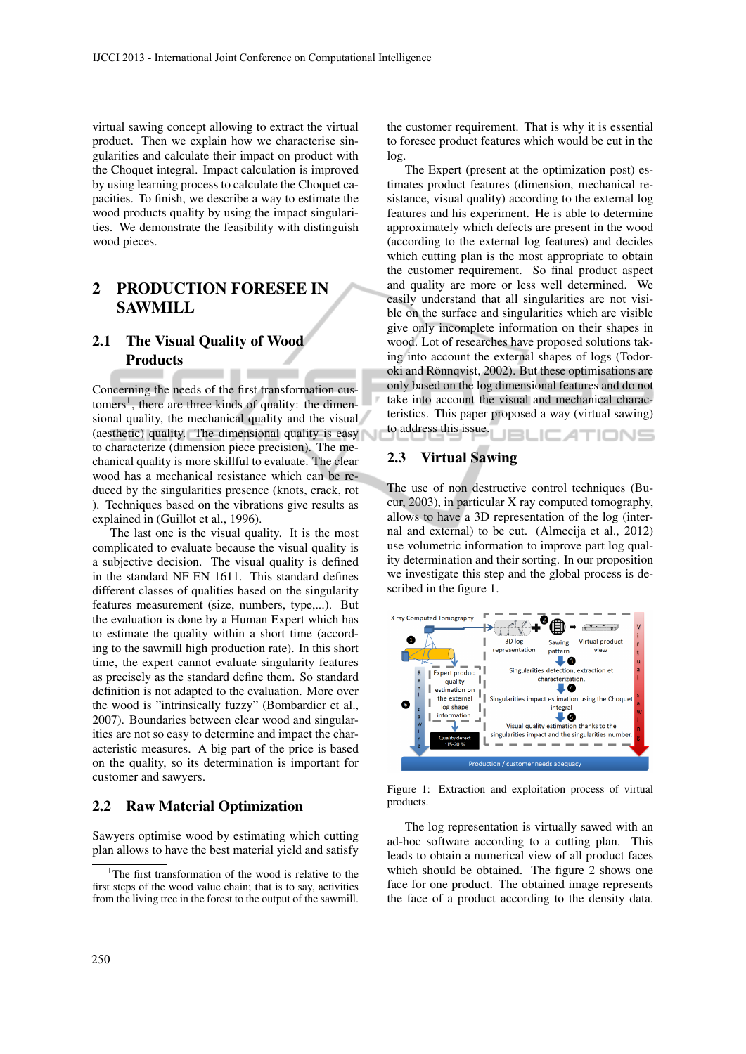virtual sawing concept allowing to extract the virtual product. Then we explain how we characterise singularities and calculate their impact on product with the Choquet integral. Impact calculation is improved by using learning process to calculate the Choquet capacities. To finish, we describe a way to estimate the wood products quality by using the impact singularities. We demonstrate the feasibility with distinguish wood pieces.

## 2 PRODUCTION FORESEE IN **SAWMILL**

## 2.1 The Visual Quality of Wood **Products**

Concerning the needs of the first transformation customers<sup>1</sup>, there are three kinds of quality: the dimensional quality, the mechanical quality and the visual (aesthetic) quality. The dimensional quality is easy to characterize (dimension piece precision). The mechanical quality is more skillful to evaluate. The clear wood has a mechanical resistance which can be reduced by the singularities presence (knots, crack, rot ). Techniques based on the vibrations give results as explained in (Guillot et al., 1996).

The last one is the visual quality. It is the most complicated to evaluate because the visual quality is a subjective decision. The visual quality is defined in the standard NF EN 1611. This standard defines different classes of qualities based on the singularity features measurement (size, numbers, type,...). But the evaluation is done by a Human Expert which has to estimate the quality within a short time (according to the sawmill high production rate). In this short time, the expert cannot evaluate singularity features as precisely as the standard define them. So standard definition is not adapted to the evaluation. More over the wood is "intrinsically fuzzy" (Bombardier et al., 2007). Boundaries between clear wood and singularities are not so easy to determine and impact the characteristic measures. A big part of the price is based on the quality, so its determination is important for customer and sawyers.

### 2.2 Raw Material Optimization

Sawyers optimise wood by estimating which cutting plan allows to have the best material yield and satisfy

the customer requirement. That is why it is essential to foresee product features which would be cut in the log.

The Expert (present at the optimization post) estimates product features (dimension, mechanical resistance, visual quality) according to the external log features and his experiment. He is able to determine approximately which defects are present in the wood (according to the external log features) and decides which cutting plan is the most appropriate to obtain the customer requirement. So final product aspect and quality are more or less well determined. We easily understand that all singularities are not visible on the surface and singularities which are visible give only incomplete information on their shapes in wood. Lot of researches have proposed solutions taking into account the external shapes of logs (Todoroki and Rönnqvist, 2002). But these optimisations are only based on the log dimensional features and do not take into account the visual and mechanical characteristics. This paper proposed a way (virtual sawing) to address this issue. **JBLIC ATIONS** 

### 2.3 Virtual Sawing

The use of non destructive control techniques (Bucur, 2003), in particular X ray computed tomography, allows to have a 3D representation of the log (internal and external) to be cut. (Almecija et al., 2012) use volumetric information to improve part log quality determination and their sorting. In our proposition we investigate this step and the global process is described in the figure 1.



Figure 1: Extraction and exploitation process of virtual products.

The log representation is virtually sawed with an ad-hoc software according to a cutting plan. This leads to obtain a numerical view of all product faces which should be obtained. The figure 2 shows one face for one product. The obtained image represents the face of a product according to the density data.

<sup>&</sup>lt;sup>1</sup>The first transformation of the wood is relative to the first steps of the wood value chain; that is to say, activities from the living tree in the forest to the output of the sawmill.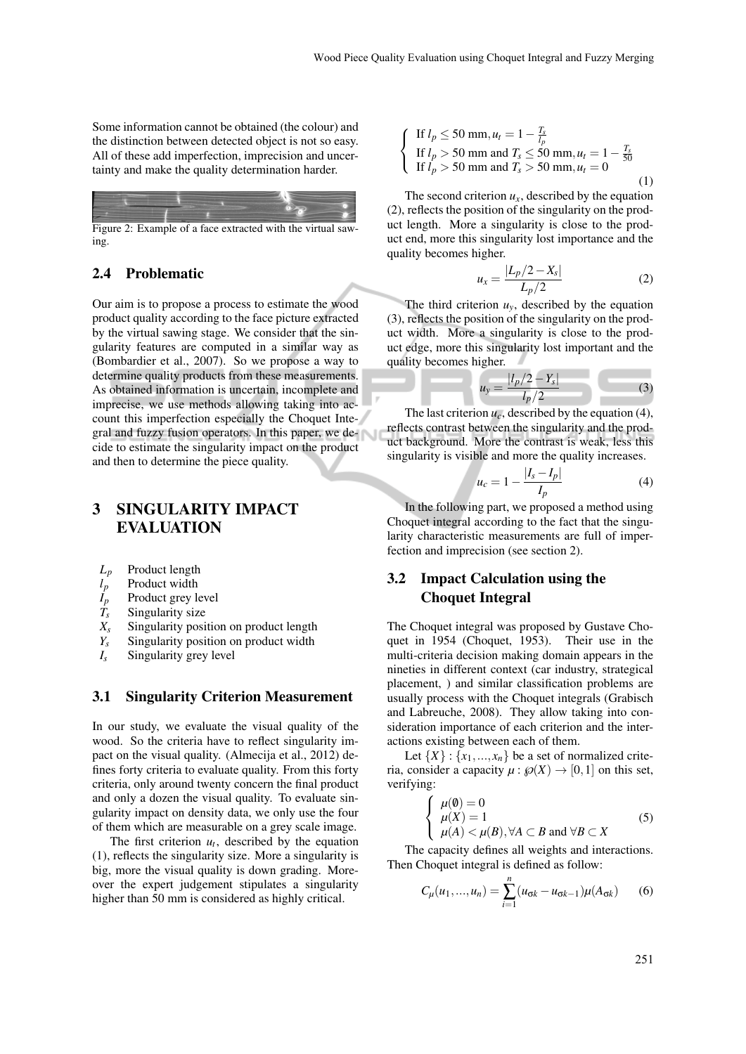Some information cannot be obtained (the colour) and the distinction between detected object is not so easy. All of these add imperfection, imprecision and uncertainty and make the quality determination harder.



Figure 2: Example of a face extracted with the virtual sawing.

### 2.4 Problematic

Our aim is to propose a process to estimate the wood product quality according to the face picture extracted by the virtual sawing stage. We consider that the singularity features are computed in a similar way as (Bombardier et al., 2007). So we propose a way to determine quality products from these measurements. As obtained information is uncertain, incomplete and imprecise, we use methods allowing taking into account this imperfection especially the Choquet Integral and fuzzy fusion operators. In this paper, we decide to estimate the singularity impact on the product and then to determine the piece quality.

## 3 SINGULARITY IMPACT EVALUATION

- 
- $L_p$  Product length<br> $l_p$  Product width  $l_p$  Product width<br>  $l_p$  Product grey le<br>  $l_s$  Singularity siz
- *I<sup>p</sup>* Product grey level
- $T_s$  Singularity size<br> $X_s$  Singularity posi
- $X_s$  Singularity position on product length  $Y_s$  Singularity position on product width
- $Y_s$  Singularity position on product width  $I_s$  Singularity grey level
- *I<sup>s</sup>* Singularity grey level

#### 3.1 Singularity Criterion Measurement

In our study, we evaluate the visual quality of the wood. So the criteria have to reflect singularity impact on the visual quality. (Almecija et al., 2012) defines forty criteria to evaluate quality. From this forty criteria, only around twenty concern the final product and only a dozen the visual quality. To evaluate singularity impact on density data, we only use the four of them which are measurable on a grey scale image.

The first criterion  $u_t$ , described by the equation (1), reflects the singularity size. More a singularity is big, more the visual quality is down grading. Moreover the expert judgement stipulates a singularity higher than 50 mm is considered as highly critical.

$$
\begin{cases}\n\text{If } l_p \le 50 \text{ mm}, u_t = 1 - \frac{T_s}{l_p} \\
\text{If } l_p > 50 \text{ mm and } T_s \le 50 \text{ mm}, u_t = 1 - \frac{T_s}{50} \\
\text{If } l_p > 50 \text{ mm and } T_s > 50 \text{ mm}, u_t = 0\n\end{cases}
$$
\n(1)

The second criterion  $u_x$ , described by the equation (2), reflects the position of the singularity on the product length. More a singularity is close to the product end, more this singularity lost importance and the quality becomes higher.

$$
u_x = \frac{|L_p/2 - X_s|}{L_p/2}
$$
 (2)

The third criterion  $u<sub>y</sub>$ , described by the equation (3), reflects the position of the singularity on the product width. More a singularity is close to the product edge, more this singularity lost important and the quality becomes higher.

$$
u_y = \frac{|l_p/2 - Y_s|}{l_p/2}
$$
 (3)

The last criterion  $u_c$ , described by the equation (4), reflects contrast between the singularity and the product background. More the contrast is weak, less this singularity is visible and more the quality increases.

$$
u_c = 1 - \frac{|I_s - I_p|}{I_p} \tag{4}
$$

In the following part, we proposed a method using Choquet integral according to the fact that the singularity characteristic measurements are full of imperfection and imprecision (see section 2).

### 3.2 Impact Calculation using the Choquet Integral

The Choquet integral was proposed by Gustave Choquet in 1954 (Choquet, 1953). Their use in the multi-criteria decision making domain appears in the nineties in different context (car industry, strategical placement, ) and similar classification problems are usually process with the Choquet integrals (Grabisch and Labreuche, 2008). They allow taking into consideration importance of each criterion and the interactions existing between each of them.

Let  $\{X\}$  :  $\{x_1,...,x_n\}$  be a set of normalized criteria, consider a capacity  $\mu : \mathcal{P}(X) \to [0,1]$  on this set, verifying:

$$
\begin{cases}\n\mu(\emptyset) = 0 \\
\mu(X) = 1 \\
\mu(A) < \mu(B), \forall A \subset B \text{ and } \forall B \subset X\n\end{cases}
$$
\n(5)

The capacity defines all weights and interactions. Then Choquet integral is defined as follow:

$$
C_{\mu}(u_1,...,u_n) = \sum_{i=1}^{n} (u_{\sigma k} - u_{\sigma k-1}) \mu(A_{\sigma k})
$$
 (6)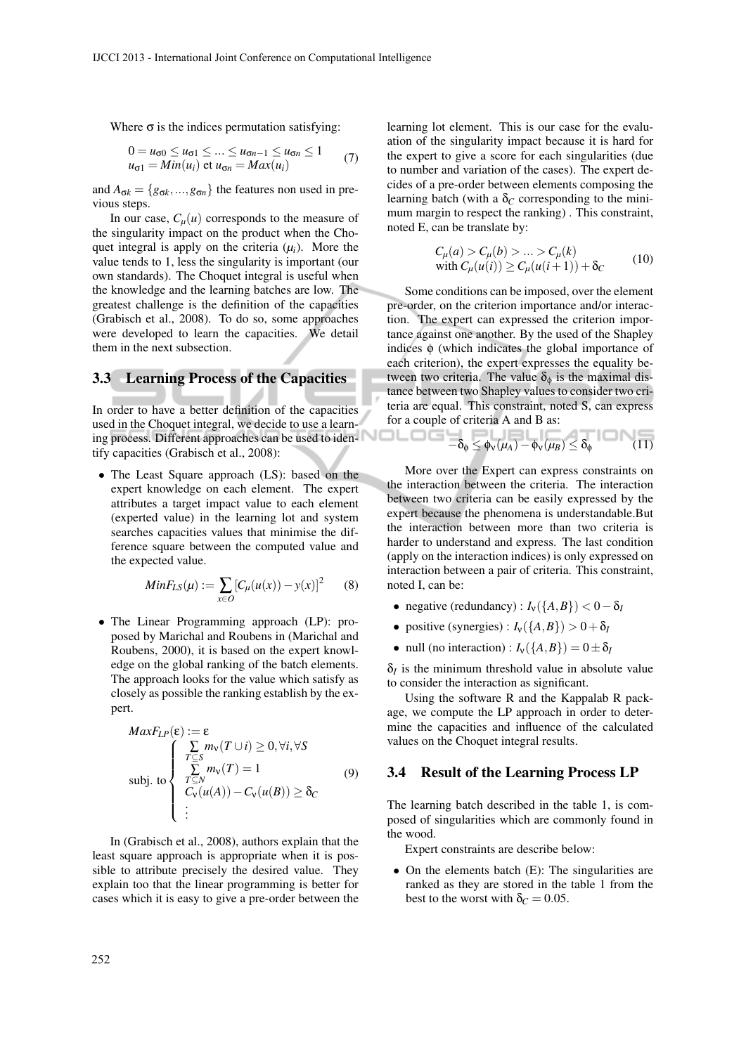Where  $\sigma$  is the indices permutation satisfying:

$$
0 = u_{\sigma 0} \le u_{\sigma 1} \le \dots \le u_{\sigma n-1} \le u_{\sigma n} \le 1
$$
  
\n
$$
u_{\sigma 1} = Min(u_i) \text{ et } u_{\sigma n} = Max(u_i)
$$
 (7)

and  $A_{\sigma k} = \{g_{\sigma k},...,g_{\sigma n}\}\$ the features non used in previous steps.

In our case,  $C_u(u)$  corresponds to the measure of the singularity impact on the product when the Choquet integral is apply on the criteria  $(\mu_i)$ . More the value tends to 1, less the singularity is important (our own standards). The Choquet integral is useful when the knowledge and the learning batches are low. The greatest challenge is the definition of the capacities (Grabisch et al., 2008). To do so, some approaches were developed to learn the capacities. We detail them in the next subsection.

#### 3.3 Learning Process of the Capacities

In order to have a better definition of the capacities used in the Choquet integral, we decide to use a learning process. Different approaches can be used to identify capacities (Grabisch et al., 2008):

• The Least Square approach (LS): based on the expert knowledge on each element. The expert attributes a target impact value to each element (experted value) in the learning lot and system searches capacities values that minimise the difference square between the computed value and the expected value.

$$
MinF_{LS}(\mu) := \sum_{x \in O} [C_{\mu}(u(x)) - y(x)]^{2} \qquad (8)
$$

• The Linear Programming approach (LP): proposed by Marichal and Roubens in (Marichal and Roubens, 2000), it is based on the expert knowledge on the global ranking of the batch elements. The approach looks for the value which satisfy as closely as possible the ranking establish by the expert.

$$
MaxF_{LP}(\varepsilon) := \varepsilon
$$
  
\n
$$
\text{subj. to} \begin{cases}\n\sum_{T \subseteq S} m_V(T \cup i) \ge 0, \forall i, \forall S \\
\sum_{T \subseteq N} m_V(T) = 1 \\
C_V(u(A)) - C_V(u(B)) \ge \delta_C \\
\vdots\n\end{cases}
$$
\n(9)

In (Grabisch et al., 2008), authors explain that the least square approach is appropriate when it is possible to attribute precisely the desired value. They explain too that the linear programming is better for cases which it is easy to give a pre-order between the

learning lot element. This is our case for the evaluation of the singularity impact because it is hard for the expert to give a score for each singularities (due to number and variation of the cases). The expert decides of a pre-order between elements composing the learning batch (with a  $\delta_C$  corresponding to the minimum margin to respect the ranking) . This constraint, noted E, can be translate by:

$$
C_{\mu}(a) > C_{\mu}(b) > ... > C_{\mu}(k)
$$
  
with  $C_{\mu}(u(i)) \ge C_{\mu}(u(i+1)) + \delta_C$  (10)

Some conditions can be imposed, over the element pre-order, on the criterion importance and/or interaction. The expert can expressed the criterion importance against one another. By the used of the Shapley indices  $\phi$  (which indicates the global importance of each criterion), the expert expresses the equality between two criteria. The value  $\delta_{\phi}$  is the maximal distance between two Shapley values to consider two criteria are equal. This constraint, noted S, can express for a couple of criteria A and B as:

$$
-\delta_{\phi} \leq \phi_{\nu}(\mu_{A}) - \phi_{\nu}(\mu_{B}) \leq \delta_{\phi}
$$
 (11)

More over the Expert can express constraints on the interaction between the criteria. The interaction between two criteria can be easily expressed by the expert because the phenomena is understandable.But the interaction between more than two criteria is harder to understand and express. The last condition (apply on the interaction indices) is only expressed on interaction between a pair of criteria. This constraint, noted I, can be:

- negative (redundancy) :  $I_v({A, B}) < 0 \delta_I$
- positive (synergies) :  $I_v({A, B}) > 0 + \delta_I$
- null (no interaction) :  $I_v({A, B}) = 0 \pm \delta_I$

 $\delta$ *I* is the minimum threshold value in absolute value to consider the interaction as significant.

Using the software R and the Kappalab R package, we compute the LP approach in order to determine the capacities and influence of the calculated values on the Choquet integral results.

### 3.4 Result of the Learning Process LP

The learning batch described in the table 1, is composed of singularities which are commonly found in the wood.

Expert constraints are describe below:

• On the elements batch (E): The singularities are ranked as they are stored in the table 1 from the best to the worst with  $\delta_C = 0.05$ .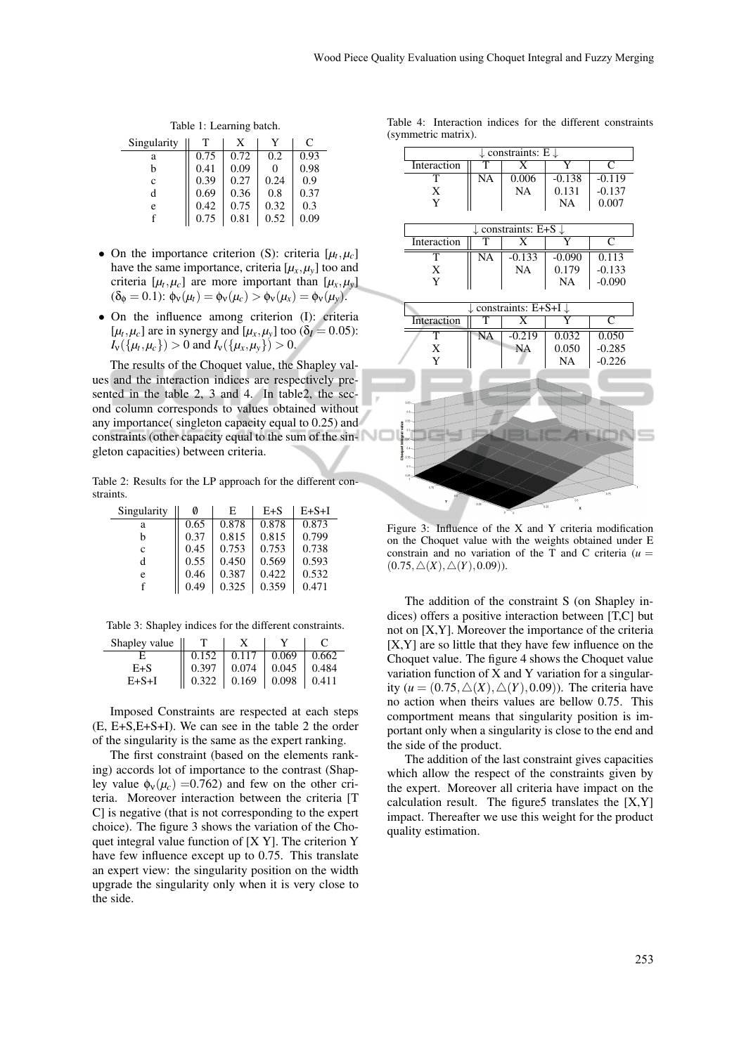Table 1: Learning batch.

| Singularity |      | X    |      | C    |
|-------------|------|------|------|------|
| a           | 0.75 | 0.72 | 0.2  | 0.93 |
| b           | 0.41 | 0.09 | 0    | 0.98 |
| $\mathbf c$ | 0.39 | 0.27 | 0.24 | 0.9  |
| d           | 0.69 | 0.36 | 0.8  | 0.37 |
| e           | 0.42 | 0.75 | 0.32 | 0.3  |
| f           | 0.75 | 0.81 | 0.52 | 0.09 |

- On the importance criterion (S): criteria  $[\mu_t, \mu_c]$ have the same importance, criteria  $[\mu_x, \mu_y]$  too and criteria [ $\mu_t, \mu_c$ ] are more important than [ $\mu_x, \mu_y$ ]  $(\delta_{\phi} = 0.1)$ :  $\phi_{V}(\mu_{t}) = \phi_{V}(\mu_{c}) > \phi_{V}(\mu_{x}) = \phi_{V}(\mu_{y})$ .
- On the influence among criterion (I): criteria  $[\mu_t, \mu_c]$  are in synergy and  $[\mu_x, \mu_y]$  too ( $\delta_l = 0.05$ ):  $I_v(\{\mu_t, \mu_c\}) > 0$  and  $I_v(\{\mu_x, \mu_y\}) > 0$ .

The results of the Choquet value, the Shapley values and the interaction indices are respectively presented in the table 2, 3 and 4. In table2, the second column corresponds to values obtained without any importance( singleton capacity equal to 0.25) and constraints (other capacity equal to the sum of the singleton capacities) between criteria.

Table 2: Results for the LP approach for the different constraints.

| Singularity | 0    | E     | $E + S$ | $E+S+I$ |
|-------------|------|-------|---------|---------|
| a           | 0.65 | 0.878 | 0.878   | 0.873   |
| b           | 0.37 | 0.815 | 0.815   | 0.799   |
| c           | 0.45 | 0.753 | 0.753   | 0.738   |
| d           | 0.55 | 0.450 | 0.569   | 0.593   |
| e           | 0.46 | 0.387 | 0.422   | 0.532   |
| f           | 0.49 | 0.325 | 0.359   | 0.471   |

Table 3: Shapley indices for the different constraints.

| Shapley value $\parallel$ |                                                                                                                                      |       |       |
|---------------------------|--------------------------------------------------------------------------------------------------------------------------------------|-------|-------|
|                           | $\begin{bmatrix} 0.152 \end{bmatrix}$ 0.117                                                                                          | 0.069 | 0.662 |
| $E + S$                   |                                                                                                                                      |       | 0.484 |
| E+S+I                     | $\begin{array}{ c c c c c c c c } \hline 0.397 & 0.074 & 0.045 & 0.484 \\ \hline 0.322 & 0.169 & 0.098 & 0.411 \\\hline \end{array}$ |       |       |

Imposed Constraints are respected at each steps (E, E+S,E+S+I). We can see in the table 2 the order of the singularity is the same as the expert ranking.

The first constraint (based on the elements ranking) accords lot of importance to the contrast (Shapley value  $\phi_v(\mu_c)$  =0.762) and few on the other criteria. Moreover interaction between the criteria [T C] is negative (that is not corresponding to the expert choice). The figure 3 shows the variation of the Choquet integral value function of [X Y]. The criterion Y have few influence except up to 0.75. This translate an expert view: the singularity position on the width upgrade the singularity only when it is very close to the side.

| Table 4: Interaction indices for the different constraints |  |  |  |
|------------------------------------------------------------|--|--|--|
| (symmetric matrix).                                        |  |  |  |

| symmetric matrix).     |                        |                                          |          |                         |
|------------------------|------------------------|------------------------------------------|----------|-------------------------|
|                        |                        | $\downarrow$ constraints: E $\downarrow$ |          |                         |
| Interaction            | T                      | X                                        | Y        | $\mathsf{C}$            |
| т                      | $\overline{\text{NA}}$ | 0.006                                    | $-0.138$ | $-0.119$                |
| X                      |                        | <b>NA</b>                                | 0.131    | $-0.137$                |
| Y                      |                        |                                          | NA       | 0.007                   |
|                        |                        |                                          |          |                         |
|                        |                        | constraints: $E+S$ .                     |          |                         |
| Interaction            | т                      | $\overline{\text{X}}$                    | Ÿ        | $\overline{\mathsf{C}}$ |
| $\overline{\text{T}}$  | $\overline{NA}$        | $-0.133$                                 | $-0.090$ | 0.113                   |
| X                      |                        | <b>NA</b>                                | 0.179    | $-0.133$                |
| Y                      |                        |                                          | NA       | $-0.090$                |
|                        |                        |                                          |          |                         |
|                        |                        | constraints: E+S+I $\downarrow$          |          |                         |
| Interaction            | т                      | $\overline{\text{X}}$                    | Y        | C                       |
| $\overline{\text{T}}$  | NA                     | $-0.219$                                 | 0.032    | 0.050                   |
| X                      |                        | <b>NA</b>                                | 0.050    | $-0.285$                |
| Y                      |                        |                                          | NA       | $-0.226$                |
|                        |                        |                                          |          |                         |
|                        |                        |                                          |          |                         |
| 0.65                   |                        |                                          |          |                         |
|                        |                        |                                          |          |                         |
|                        |                        |                                          |          |                         |
| Choquet Integral value |                        |                                          |          |                         |
| 0.38                   |                        |                                          |          |                         |
|                        |                        |                                          |          |                         |
| 0.25                   |                        |                                          |          |                         |
|                        |                        |                                          |          |                         |

Figure 3: Influence of the X and Y criteria modification on the Choquet value with the weights obtained under E constrain and no variation of the T and C criteria  $(u =$  $(0.75,\triangle(X),\triangle(Y),0.09)$ ).

The addition of the constraint S (on Shapley indices) offers a positive interaction between [T,C] but not on [X,Y]. Moreover the importance of the criteria [X,Y] are so little that they have few influence on the Choquet value. The figure 4 shows the Choquet value variation function of X and Y variation for a singularity ( $u = (0.75, \triangle(X), \triangle(Y), 0.09)$ ). The criteria have no action when theirs values are bellow 0.75. This comportment means that singularity position is important only when a singularity is close to the end and the side of the product.

The addition of the last constraint gives capacities which allow the respect of the constraints given by the expert. Moreover all criteria have impact on the calculation result. The figure 5 translates the  $[X, Y]$ impact. Thereafter we use this weight for the product quality estimation.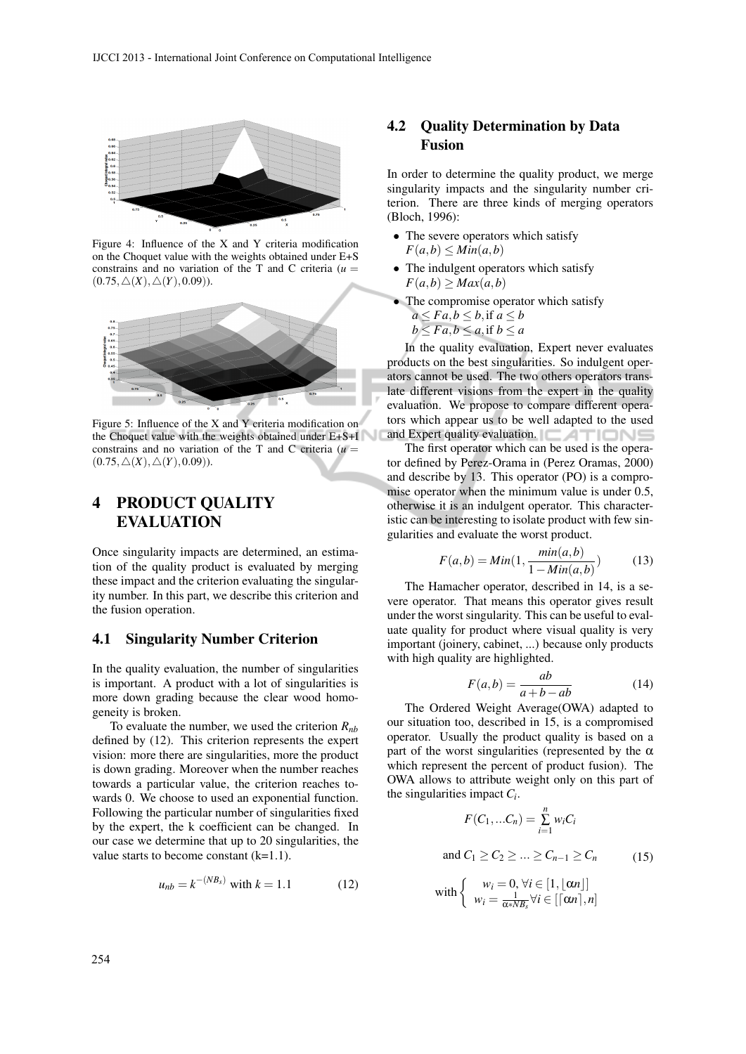

Figure 4: Influence of the X and Y criteria modification on the Choquet value with the weights obtained under E+S constrains and no variation of the T and C criteria  $(u =$  $(0.75,\triangle(X),\triangle(Y),0.09)$ ).



Figure 5: Influence of the X and Y criteria modification on the Choquet value with the weights obtained under E+S+I constrains and no variation of the T and C criteria  $(u =$  $(0.75,\triangle(X),\triangle(Y),0.09)$ ).

## 4 PRODUCT QUALITY EVALUATION

Once singularity impacts are determined, an estimation of the quality product is evaluated by merging these impact and the criterion evaluating the singularity number. In this part, we describe this criterion and the fusion operation.

### 4.1 Singularity Number Criterion

In the quality evaluation, the number of singularities is important. A product with a lot of singularities is more down grading because the clear wood homogeneity is broken.

To evaluate the number, we used the criterion *Rnb* defined by (12). This criterion represents the expert vision: more there are singularities, more the product is down grading. Moreover when the number reaches towards a particular value, the criterion reaches towards 0. We choose to used an exponential function. Following the particular number of singularities fixed by the expert, the k coefficient can be changed. In our case we determine that up to 20 singularities, the value starts to become constant (k=1.1).

$$
u_{nb} = k^{-(NB_s)} \text{ with } k = 1.1 \tag{12}
$$

### 4.2 Quality Determination by Data Fusion

In order to determine the quality product, we merge singularity impacts and the singularity number criterion. There are three kinds of merging operators (Bloch, 1996):

- The severe operators which satisfy  $F(a,b) \leq Min(a,b)$
- The indulgent operators which satisfy  $F(a,b) \geq Max(a,b)$
- The compromise operator which satisfy  $a \leq Fa, b \leq b$ , if  $a \leq b$  $b \leq Fa, b \leq a$ , if  $b \leq a$

In the quality evaluation, Expert never evaluates products on the best singularities. So indulgent operators cannot be used. The two others operators translate different visions from the expert in the quality evaluation. We propose to compare different operators which appear us to be well adapted to the used and Expert quality evaluation.  $\Box$   $\Box$ 

The first operator which can be used is the operator defined by Perez-Orama in (Perez Oramas, 2000) and describe by 13. This operator (PO) is a compromise operator when the minimum value is under 0.5, otherwise it is an indulgent operator. This characteristic can be interesting to isolate product with few singularities and evaluate the worst product.

$$
F(a,b) = Min(1, \frac{min(a,b)}{1 - Min(a,b)})
$$
 (13)

The Hamacher operator, described in 14, is a severe operator. That means this operator gives result under the worst singularity. This can be useful to evaluate quality for product where visual quality is very important (joinery, cabinet, ...) because only products with high quality are highlighted.

$$
F(a,b) = \frac{ab}{a+b-ab} \tag{14}
$$

The Ordered Weight Average(OWA) adapted to our situation too, described in 15, is a compromised operator. Usually the product quality is based on a part of the worst singularities (represented by the  $\alpha$ which represent the percent of product fusion). The OWA allows to attribute weight only on this part of the singularities impact *C<sup>i</sup>* .

$$
F(C_1,...C_n) = \sum_{i=1}^n w_i C_i
$$
  
and  $C_1 \ge C_2 \ge ... \ge C_{n-1} \ge C_n$  (15)  
with 
$$
\begin{cases} w_i = 0, \forall i \in [1, \lfloor \alpha n \rfloor] \\ w_i = \frac{1}{\alpha * N B_s} \forall i \in [\lceil \alpha n \rceil, n] \end{cases}
$$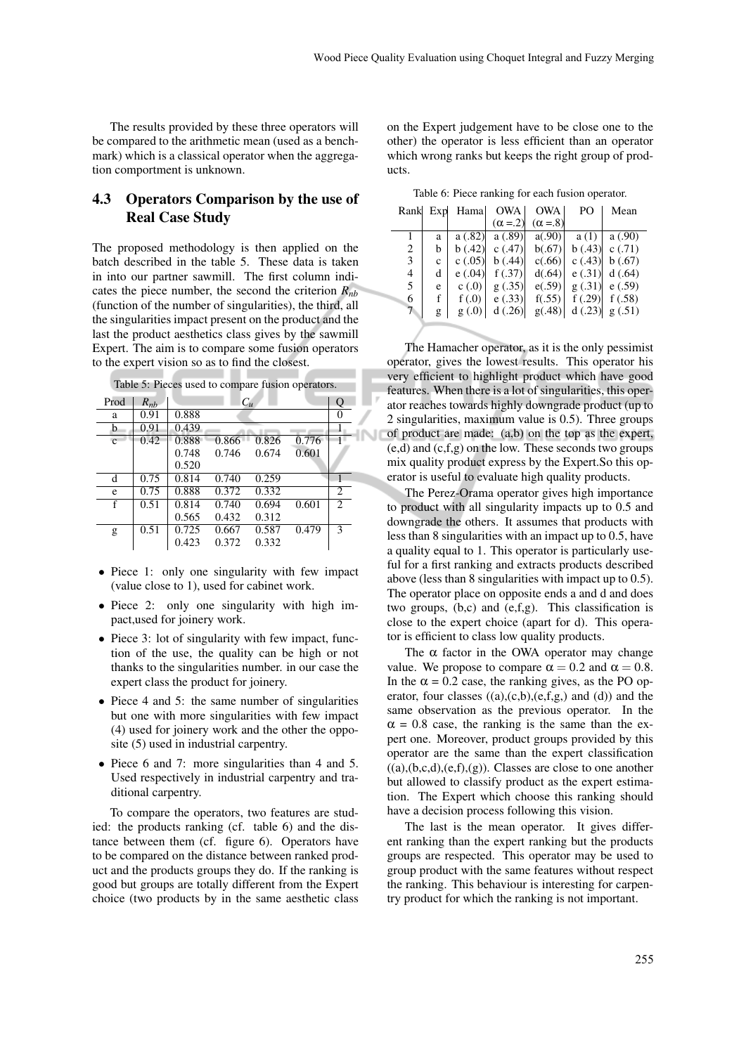The results provided by these three operators will be compared to the arithmetic mean (used as a benchmark) which is a classical operator when the aggregation comportment is unknown.

## 4.3 Operators Comparison by the use of Real Case Study

The proposed methodology is then applied on the batch described in the table 5. These data is taken in into our partner sawmill. The first column indicates the piece number, the second the criterion *Rnb* (function of the number of singularities), the third, all the singularities impact present on the product and the last the product aesthetics class gives by the sawmill Expert. The aim is to compare some fusion operators to the expert vision so as to find the closest.

|  |  | Table 5: Pieces used to compare fusion operators. |  |  |
|--|--|---------------------------------------------------|--|--|
|--|--|---------------------------------------------------|--|--|

| Prod         | $R_{nb}$ |       | $C_u$ |       |       | Q              |
|--------------|----------|-------|-------|-------|-------|----------------|
| a            | 0.91     | 0.888 |       |       |       | 0              |
| b            | 0.91     | 0.439 |       |       |       |                |
| $\mathbf{c}$ | 0.42     | 0.888 | 0.866 | 0.826 | 0.776 |                |
|              |          | 0.748 | 0.746 | 0.674 | 0.601 |                |
|              |          | 0.520 |       |       |       |                |
| d            | 0.75     | 0.814 | 0.740 | 0.259 |       |                |
| e            | 0.75     | 0.888 | 0.372 | 0.332 |       | 2              |
| f            | 0.51     | 0.814 | 0.740 | 0.694 | 0.601 | $\overline{2}$ |
|              |          | 0.565 | 0.432 | 0.312 |       |                |
| g            | 0.51     | 0.725 | 0.667 | 0.587 | 0.479 | 3              |
|              |          | 0.423 | 0.372 | 0.332 |       |                |

- Piece 1: only one singularity with few impact (value close to 1), used for cabinet work.
- Piece 2: only one singularity with high impact,used for joinery work.
- Piece 3: lot of singularity with few impact, function of the use, the quality can be high or not thanks to the singularities number. in our case the expert class the product for joinery.
- Piece 4 and 5: the same number of singularities but one with more singularities with few impact (4) used for joinery work and the other the opposite (5) used in industrial carpentry.
- Piece 6 and 7: more singularities than 4 and 5. Used respectively in industrial carpentry and traditional carpentry.

To compare the operators, two features are studied: the products ranking (cf. table 6) and the distance between them (cf. figure 6). Operators have to be compared on the distance between ranked product and the products groups they do. If the ranking is good but groups are totally different from the Expert choice (two products by in the same aesthetic class

on the Expert judgement have to be close one to the other) the operator is less efficient than an operator which wrong ranks but keeps the right group of products.

| Rank Exp |   | Hama   | <b>OWA</b>     | <b>OWA</b>      | PO      | Mean                |
|----------|---|--------|----------------|-----------------|---------|---------------------|
|          |   |        | $(\alpha = 2)$ | $(\alpha = .8)$ |         |                     |
|          | a | a(.82) | a(.89)         | a(.90)          | a(1)    | a(.90)              |
| 2        | b | b(.42) | c(47)          | b(.67)          | b(.43)  | c(0.71)             |
| 3        | c | c(.05) | b(.44)         | c(.66)          | c(0.43) | b(.67)              |
| 4        | d | e(.04) | f(.37)         | d(.64)          | e(.31)  | d(.64)              |
| 5        | e | c(0)   | g(.35)         | e(.59)          | g(.31)  | e(.59)              |
| 6        | f | f(.0)  | e(.33)         | f(.55)          | f(.29)  | f(.58)              |
| 7        | g | g(0.0) | d(.26)         | g(.48)          |         | d $(.23)$ g $(.51)$ |
|          |   |        |                |                 |         |                     |

The Hamacher operator, as it is the only pessimist operator, gives the lowest results. This operator his very efficient to highlight product which have good features. When there is a lot of singularities, this operator reaches towards highly downgrade product (up to 2 singularities, maximum value is 0.5). Three groups of product are made: (a,b) on the top as the expert, (e,d) and (c,f,g) on the low. These seconds two groups mix quality product express by the Expert.So this operator is useful to evaluate high quality products.

The Perez-Orama operator gives high importance to product with all singularity impacts up to 0.5 and downgrade the others. It assumes that products with less than 8 singularities with an impact up to 0.5, have a quality equal to 1. This operator is particularly useful for a first ranking and extracts products described above (less than 8 singularities with impact up to 0.5). The operator place on opposite ends a and d and does two groups, (b,c) and (e,f,g). This classification is close to the expert choice (apart for d). This operator is efficient to class low quality products.

The  $\alpha$  factor in the OWA operator may change value. We propose to compare  $\alpha = 0.2$  and  $\alpha = 0.8$ . In the  $\alpha = 0.2$  case, the ranking gives, as the PO operator, four classes  $((a),(c,b),(e,f,g,)$  and  $(d))$  and the same observation as the previous operator. In the  $\alpha$  = 0.8 case, the ranking is the same than the expert one. Moreover, product groups provided by this operator are the same than the expert classification  $((a),(b,c,d),(e,f),(g))$ . Classes are close to one another but allowed to classify product as the expert estimation. The Expert which choose this ranking should have a decision process following this vision.

The last is the mean operator. It gives different ranking than the expert ranking but the products groups are respected. This operator may be used to group product with the same features without respect the ranking. This behaviour is interesting for carpentry product for which the ranking is not important.